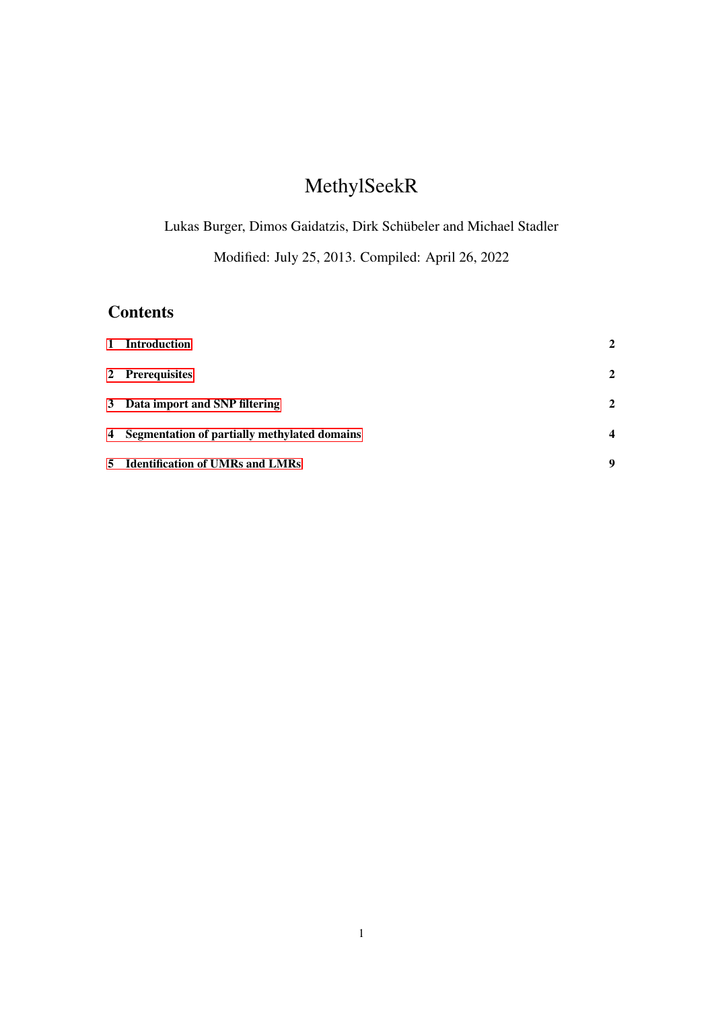# MethylSeekR

Lukas Burger, Dimos Gaidatzis, Dirk Schübeler and Michael Stadler

Modified: July 25, 2013. Compiled: April 26, 2022

# **Contents**

| $\mathbf{1}$ | <b>Introduction</b>                            | $\mathbf{2}$            |
|--------------|------------------------------------------------|-------------------------|
|              | 2 Prerequisites                                | 2                       |
|              | 3 Data import and SNP filtering                | 2                       |
|              | 4 Segmentation of partially methylated domains | $\overline{\mathbf{4}}$ |
|              | 5 Identification of UMRs and LMRs              | 9                       |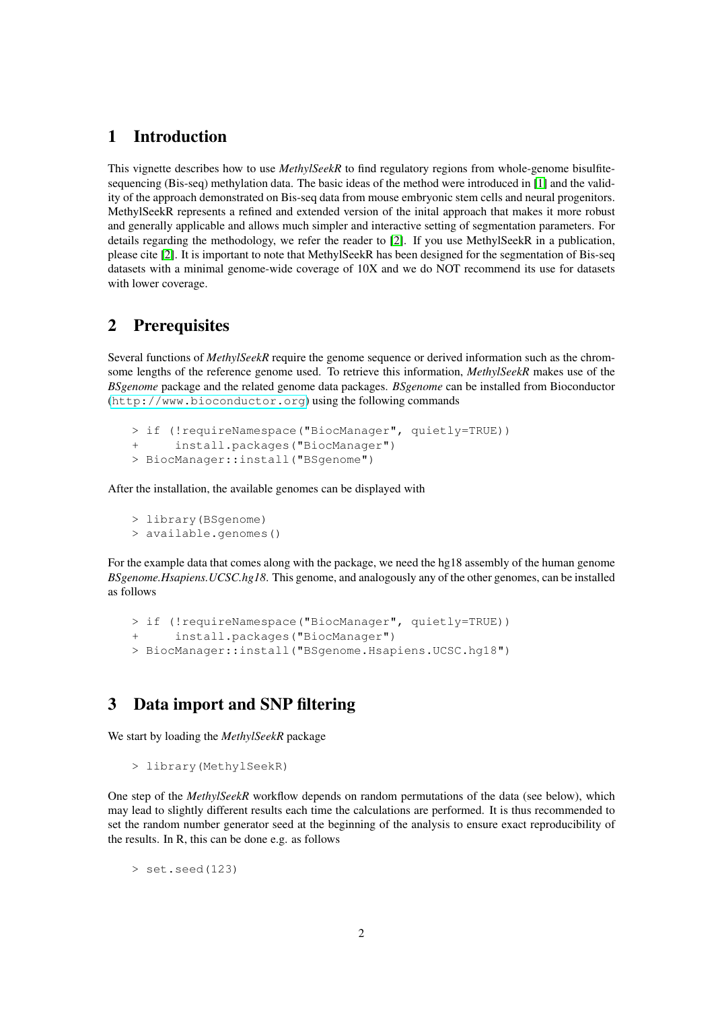# <span id="page-1-0"></span>1 Introduction

This vignette describes how to use *MethylSeekR* to find regulatory regions from whole-genome bisulfitesequencing (Bis-seq) methylation data. The basic ideas of the method were introduced in [\[1\]](#page-13-0) and the validity of the approach demonstrated on Bis-seq data from mouse embryonic stem cells and neural progenitors. MethylSeekR represents a refined and extended version of the inital approach that makes it more robust and generally applicable and allows much simpler and interactive setting of segmentation parameters. For details regarding the methodology, we refer the reader to [\[2\]](#page-13-1). If you use MethylSeekR in a publication, please cite [\[2\]](#page-13-1). It is important to note that MethylSeekR has been designed for the segmentation of Bis-seq datasets with a minimal genome-wide coverage of 10X and we do NOT recommend its use for datasets with lower coverage.

## <span id="page-1-1"></span>2 Prerequisites

Several functions of *MethylSeekR* require the genome sequence or derived information such as the chromsome lengths of the reference genome used. To retrieve this information, *MethylSeekR* makes use of the *BSgenome* package and the related genome data packages. *BSgenome* can be installed from Bioconductor (<http://www.bioconductor.org>) using the following commands

```
> if (!requireNamespace("BiocManager", quietly=TRUE))
+ install.packages("BiocManager")
> BiocManager::install("BSgenome")
```
After the installation, the available genomes can be displayed with

```
> library(BSgenome)
> available.genomes()
```
For the example data that comes along with the package, we need the hg18 assembly of the human genome *BSgenome.Hsapiens.UCSC.hg18*. This genome, and analogously any of the other genomes, can be installed as follows

```
> if (!requireNamespace("BiocManager", quietly=TRUE))
+ install.packages("BiocManager")
> BiocManager::install("BSgenome.Hsapiens.UCSC.hg18")
```
# <span id="page-1-2"></span>3 Data import and SNP filtering

We start by loading the *MethylSeekR* package

```
> library(MethylSeekR)
```
One step of the *MethylSeekR* workflow depends on random permutations of the data (see below), which may lead to slightly different results each time the calculations are performed. It is thus recommended to set the random number generator seed at the beginning of the analysis to ensure exact reproducibility of the results. In R, this can be done e.g. as follows

> set.seed(123)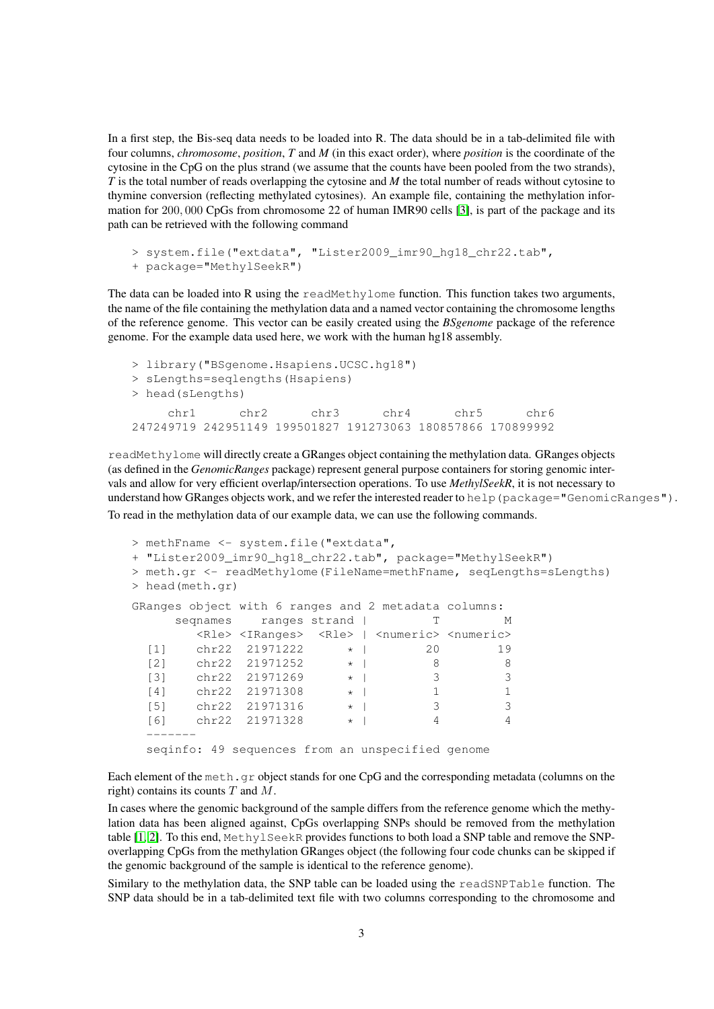In a first step, the Bis-seq data needs to be loaded into R. The data should be in a tab-delimited file with four columns, *chromosome*, *position*, *T* and *M* (in this exact order), where *position* is the coordinate of the cytosine in the CpG on the plus strand (we assume that the counts have been pooled from the two strands), *T* is the total number of reads overlapping the cytosine and *M* the total number of reads without cytosine to thymine conversion (reflecting methylated cytosines). An example file, containing the methylation information for 200, 000 CpGs from chromosome 22 of human IMR90 cells [\[3\]](#page-13-2), is part of the package and its path can be retrieved with the following command

```
> system.file("extdata", "Lister2009_imr90_hg18_chr22.tab",
+ package="MethylSeekR")
```
The data can be loaded into R using the readMethylome function. This function takes two arguments, the name of the file containing the methylation data and a named vector containing the chromosome lengths of the reference genome. This vector can be easily created using the *BSgenome* package of the reference genome. For the example data used here, we work with the human hg18 assembly.

```
> library("BSgenome.Hsapiens.UCSC.hg18")
> sLengths=seqlengths(Hsapiens)
> head(sLengths)
    chr1 chr2 chr3 chr4 chr5 chr6
247249719 242951149 199501827 191273063 180857866 170899992
```
readMethylome will directly create a GRanges object containing the methylation data. GRanges objects (as defined in the *GenomicRanges* package) represent general purpose containers for storing genomic intervals and allow for very efficient overlap/intersection operations. To use *MethylSeekR*, it is not necessary to understand how GRanges objects work, and we refer the interested reader to help (package="GenomicRanges"). To read in the methylation data of our example data, we can use the following commands.

```
> methFname <- system.file("extdata",
+ "Lister2009_imr90_hg18_chr22.tab", package="MethylSeekR")
> meth.gr <- readMethylome(FileName=methFname, seqLengths=sLengths)
> head(meth.gr)
GRanges object with 6 ranges and 2 metadata columns:
      seqnames ranges strand | T M
         <Rle> <IRanges> <Rle> | <numeric> <numeric>
  \begin{array}{ccccccccc}\n[1] & \text{chr22} & 21971222 & & \star & | & & 20 & 19 \\
[2] & \text{chr22} & 21971252 & & \star & | & & 8 & 8\n\end{array}[2] chr22 21971252 * | 8 8<br>
[3] chr22 21971269 * | 3 3
        chr22 21971269 * | 3 3<br>
chr22 21971308 * | 1 1
  [4] chr22 21971308
  [5] chr22 21971316 * | 3 3
  [6] chr22 21971328 * | 4 4
  -------
  seqinfo: 49 sequences from an unspecified genome
```
Each element of the meth.gr object stands for one CpG and the corresponding metadata (columns on the right) contains its counts  $T$  and  $M$ .

In cases where the genomic background of the sample differs from the reference genome which the methylation data has been aligned against, CpGs overlapping SNPs should be removed from the methylation table [\[1,](#page-13-0) [2\]](#page-13-1). To this end, MethylSeekR provides functions to both load a SNP table and remove the SNPoverlapping CpGs from the methylation GRanges object (the following four code chunks can be skipped if the genomic background of the sample is identical to the reference genome).

Similary to the methylation data, the SNP table can be loaded using the readSNPTable function. The SNP data should be in a tab-delimited text file with two columns corresponding to the chromosome and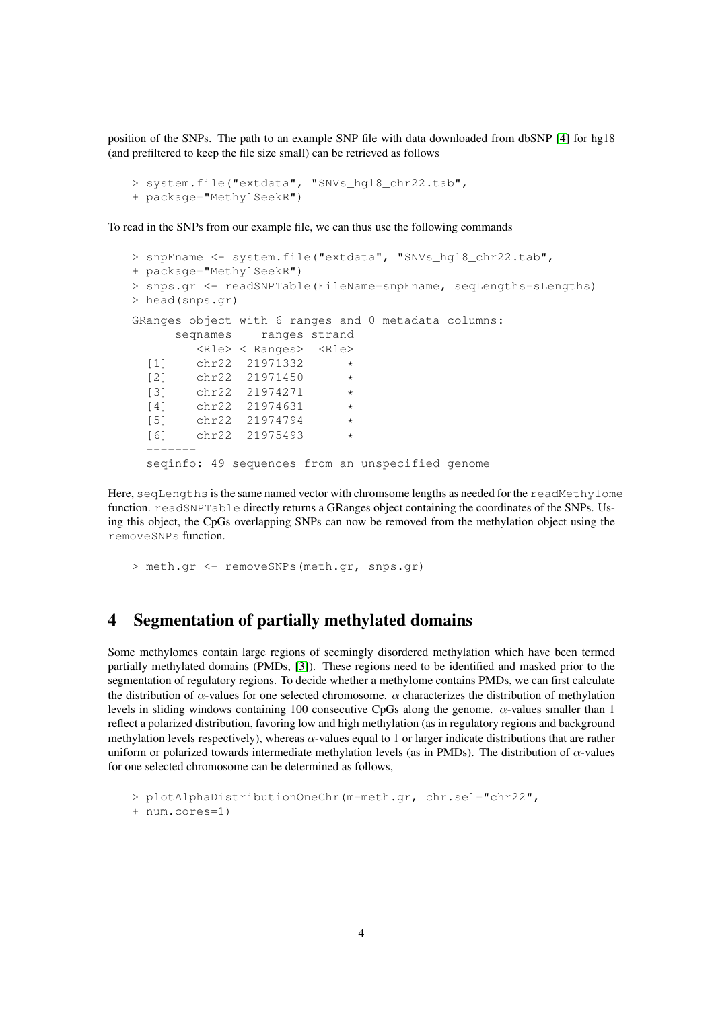position of the SNPs. The path to an example SNP file with data downloaded from dbSNP [\[4\]](#page-13-3) for hg18 (and prefiltered to keep the file size small) can be retrieved as follows

```
> system.file("extdata", "SNVs_hg18_chr22.tab",
+ package="MethylSeekR")
```
To read in the SNPs from our example file, we can thus use the following commands

```
> snpFname <- system.file("extdata", "SNVs_hg18_chr22.tab",
+ package="MethylSeekR")
> snps.gr <- readSNPTable(FileName=snpFname, seqLengths=sLengths)
> head(snps.gr)
GRanges object with 6 ranges and 0 metadata columns:
      seqnames ranges strand
         <Rle> <IRanges> <Rle>
  [1] chr22 21971332<br>[2] chr22 21971450
        chr22 21971450 *
  [3] chr22 21974271
  [4] chr22 21974631
  [5] chr22 21974794
  [6] chr22 21975493
  -------
  seqinfo: 49 sequences from an unspecified genome
```
Here, seqLengths is the same named vector with chromsome lengths as needed for the readMethylome function. readSNPTable directly returns a GRanges object containing the coordinates of the SNPs. Using this object, the CpGs overlapping SNPs can now be removed from the methylation object using the removeSNPs function.

> meth.gr <- removeSNPs(meth.gr, snps.gr)

### <span id="page-3-0"></span>4 Segmentation of partially methylated domains

Some methylomes contain large regions of seemingly disordered methylation which have been termed partially methylated domains (PMDs, [\[3\]](#page-13-2)). These regions need to be identified and masked prior to the segmentation of regulatory regions. To decide whether a methylome contains PMDs, we can first calculate the distribution of  $\alpha$ -values for one selected chromosome.  $\alpha$  characterizes the distribution of methylation levels in sliding windows containing 100 consecutive CpGs along the genome. α-values smaller than 1 reflect a polarized distribution, favoring low and high methylation (as in regulatory regions and background methylation levels respectively), whereas  $\alpha$ -values equal to 1 or larger indicate distributions that are rather uniform or polarized towards intermediate methylation levels (as in PMDs). The distribution of  $\alpha$ -values for one selected chromosome can be determined as follows,

```
> plotAlphaDistributionOneChr(m=meth.gr, chr.sel="chr22",
+ num.cores=1)
```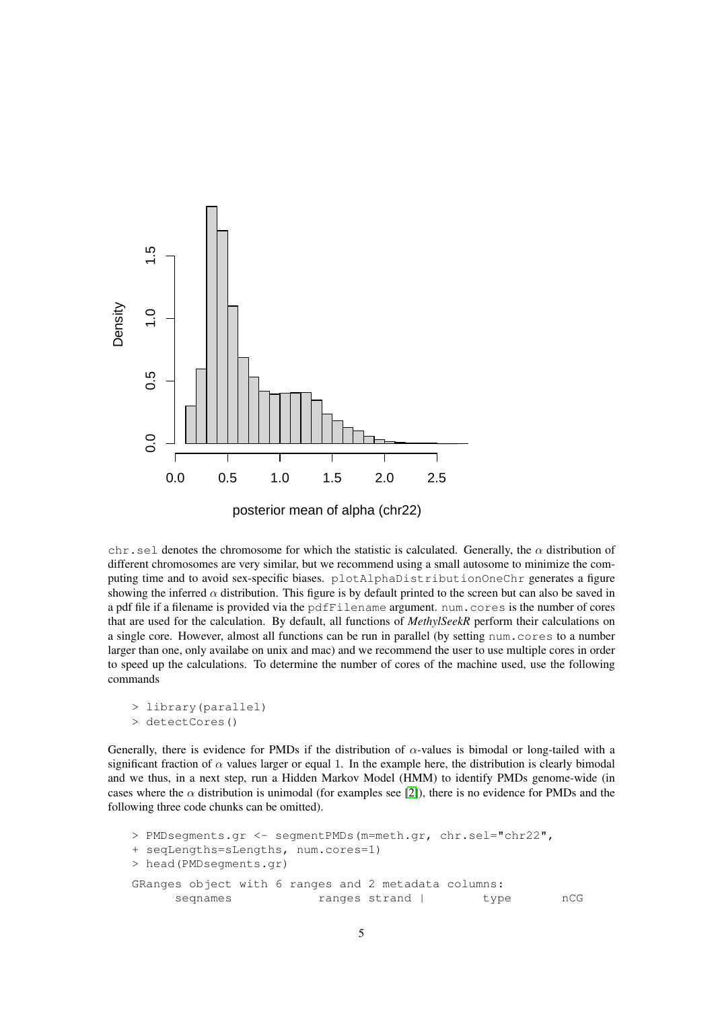

chr.sel denotes the chromosome for which the statistic is calculated. Generally, the  $\alpha$  distribution of different chromosomes are very similar, but we recommend using a small autosome to minimize the computing time and to avoid sex-specific biases. plotAlphaDistributionOneChr generates a figure showing the inferred  $\alpha$  distribution. This figure is by default printed to the screen but can also be saved in a pdf file if a filename is provided via the pdfFilename argument. num.cores is the number of cores that are used for the calculation. By default, all functions of *MethylSeekR* perform their calculations on a single core. However, almost all functions can be run in parallel (by setting num.cores to a number larger than one, only availabe on unix and mac) and we recommend the user to use multiple cores in order to speed up the calculations. To determine the number of cores of the machine used, use the following commands

```
> library(parallel)
> detectCores()
```
Generally, there is evidence for PMDs if the distribution of  $\alpha$ -values is bimodal or long-tailed with a significant fraction of  $\alpha$  values larger or equal 1. In the example here, the distribution is clearly bimodal and we thus, in a next step, run a Hidden Markov Model (HMM) to identify PMDs genome-wide (in cases where the  $\alpha$  distribution is unimodal (for examples see [\[2\]](#page-13-1)), there is no evidence for PMDs and the following three code chunks can be omitted).

```
> PMDsegments.gr <- segmentPMDs(m=meth.gr, chr.sel="chr22",
+ seqLengths=sLengths, num.cores=1)
> head(PMDsegments.gr)
GRanges object with 6 ranges and 2 metadata columns:
     seqnames ranges strand | type nCG
```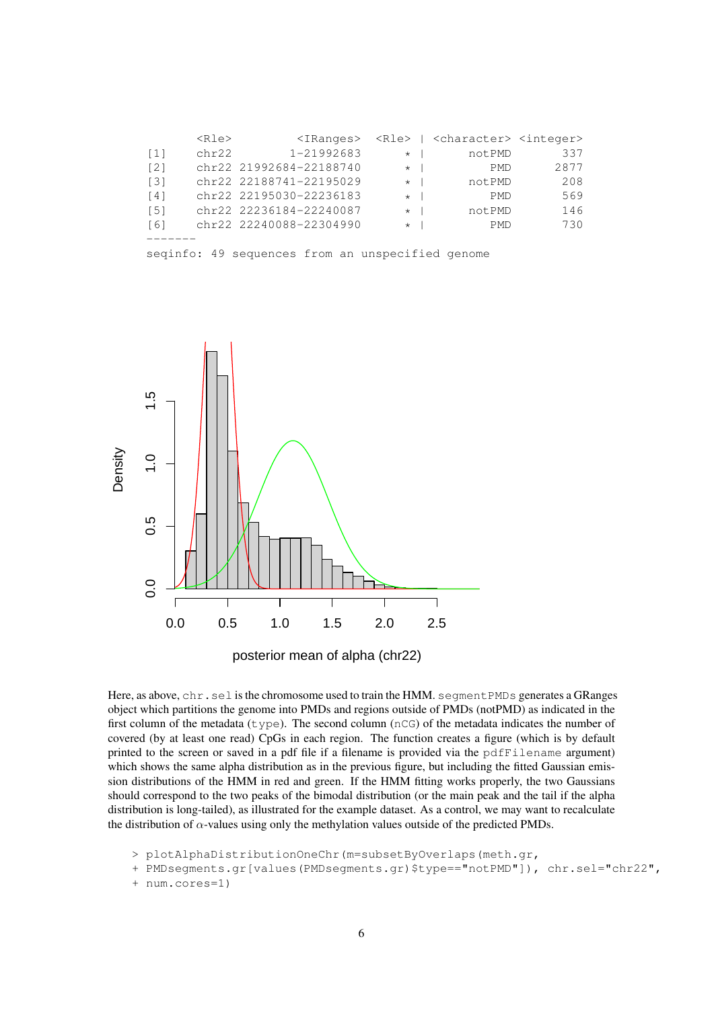|                   | $<$ Rle $>$ | $\langle$ IRanges>      |         |              | <rle>   <character> <integer></integer></character></rle> |      |  |  |  |
|-------------------|-------------|-------------------------|---------|--------------|-----------------------------------------------------------|------|--|--|--|
| $\lceil 1 \rceil$ | chr22       | 1-21992683              | $\star$ |              | notPMD                                                    | 337  |  |  |  |
| $\lceil 2 \rceil$ |             | chr22 21992684-22188740 | $\star$ |              | <b>PMD</b>                                                | 2877 |  |  |  |
| $\lceil 3 \rceil$ |             | chr22 22188741-22195029 | $\star$ |              | notPMD                                                    | 208  |  |  |  |
| $\lceil 4 \rceil$ |             | chr22 22195030-22236183 | $\star$ | $\mathbf{I}$ | <b>PMD</b>                                                | 569  |  |  |  |
| $\lceil 5 \rceil$ |             | chr22 22236184-22240087 | $\star$ |              | notPMD                                                    | 146  |  |  |  |
| [6]               |             | chr22 22240088-22304990 | $\star$ | $\mathbf{I}$ | <b>PMD</b>                                                | 730  |  |  |  |
|                   |             |                         |         |              |                                                           |      |  |  |  |

seqinfo: 49 sequences from an unspecified genome



posterior mean of alpha (chr22)

Here, as above, chr.sel is the chromosome used to train the HMM. segment PMDs generates a GRanges object which partitions the genome into PMDs and regions outside of PMDs (notPMD) as indicated in the first column of the metadata ( $type$ ). The second column ( $nCG$ ) of the metadata indicates the number of covered (by at least one read) CpGs in each region. The function creates a figure (which is by default printed to the screen or saved in a pdf file if a filename is provided via the pdfFilename argument) which shows the same alpha distribution as in the previous figure, but including the fitted Gaussian emission distributions of the HMM in red and green. If the HMM fitting works properly, the two Gaussians should correspond to the two peaks of the bimodal distribution (or the main peak and the tail if the alpha distribution is long-tailed), as illustrated for the example dataset. As a control, we may want to recalculate the distribution of  $\alpha$ -values using only the methylation values outside of the predicted PMDs.

> plotAlphaDistributionOneChr(m=subsetByOverlaps(meth.gr,

+ PMDsegments.gr[values(PMDsegments.gr)\$type=="notPMD"]), chr.sel="chr22",

```
+ num.cores=1)
```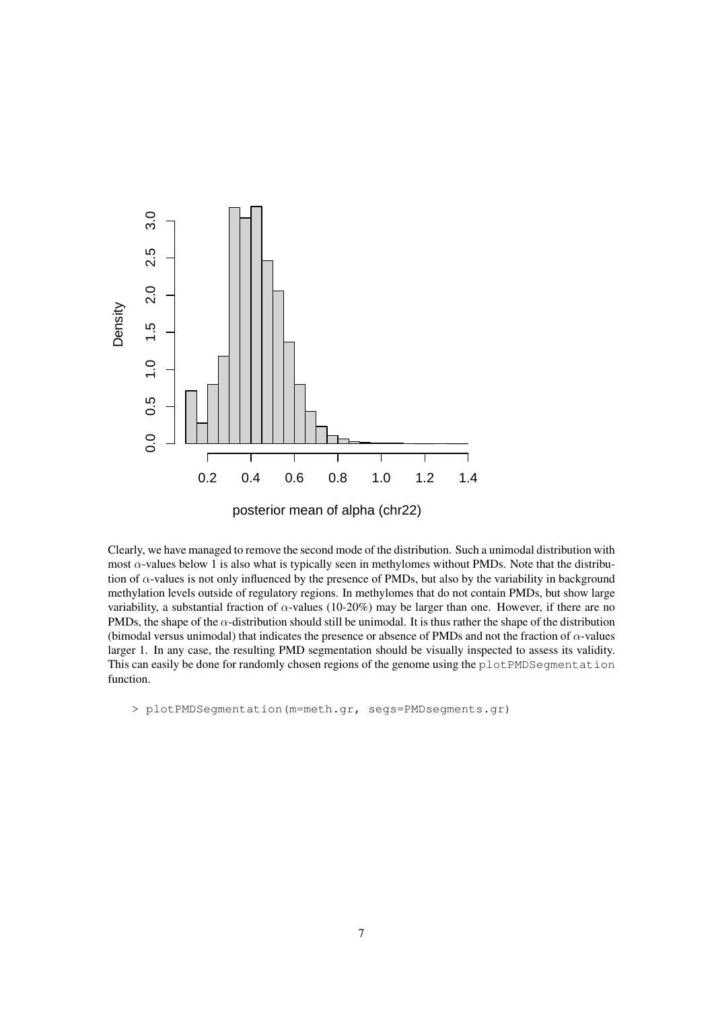

Clearly, we have managed to remove the second mode of the distribution. Such a unimodal distribution with most  $\alpha$ -values below 1 is also what is typically seen in methylomes without PMDs. Note that the distribution of  $\alpha$ -values is not only influenced by the presence of PMDs, but also by the variability in background methylation levels outside of regulatory regions. In methylomes that do not contain PMDs, but show large variability, a substantial fraction of  $\alpha$ -values (10-20%) may be larger than one. However, if there are no PMDs, the shape of the  $\alpha$ -distribution should still be unimodal. It is thus rather the shape of the distribution (bimodal versus unimodal) that indicates the presence or absence of PMDs and not the fraction of  $\alpha$ -values larger 1. In any case, the resulting PMD segmentation should be visually inspected to assess its validity. This can easily be done for randomly chosen regions of the genome using the plotPMDSeqmentation function.

> plotPMDSegmentation(m=meth.gr, segs=PMDsegments.gr)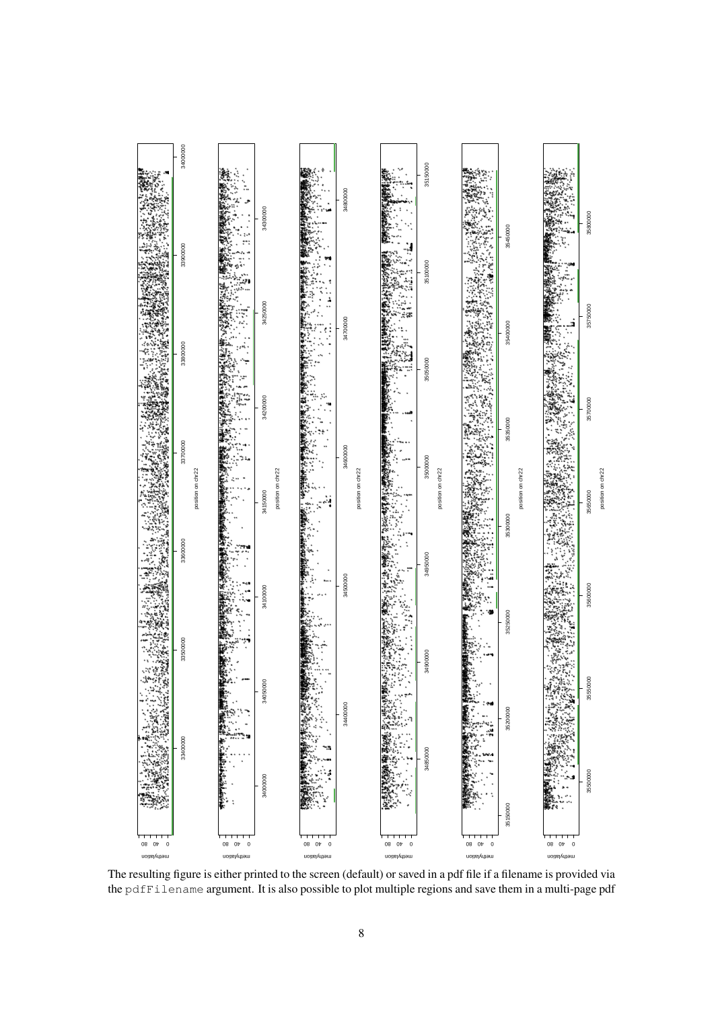

The resulting figure is either printed to the screen (default) or saved in a pdf file if a filename is provided via the pdfFilename argument. It is also possible to plot multiple regions and save them in a multi-page pdf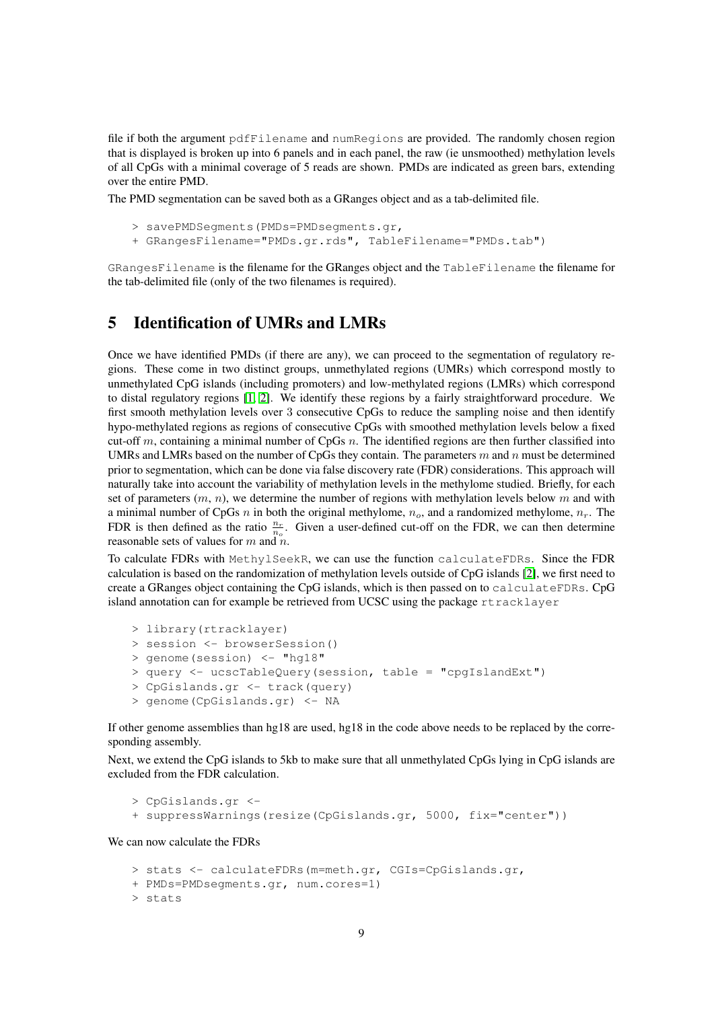file if both the argument pdfFilename and numRegions are provided. The randomly chosen region that is displayed is broken up into 6 panels and in each panel, the raw (ie unsmoothed) methylation levels of all CpGs with a minimal coverage of 5 reads are shown. PMDs are indicated as green bars, extending over the entire PMD.

The PMD segmentation can be saved both as a GRanges object and as a tab-delimited file.

```
> savePMDSegments(PMDs=PMDsegments.gr,
```
+ GRangesFilename="PMDs.gr.rds", TableFilename="PMDs.tab")

GRangesFilename is the filename for the GRanges object and the TableFilename the filename for the tab-delimited file (only of the two filenames is required).

# <span id="page-8-0"></span>5 Identification of UMRs and LMRs

Once we have identified PMDs (if there are any), we can proceed to the segmentation of regulatory regions. These come in two distinct groups, unmethylated regions (UMRs) which correspond mostly to unmethylated CpG islands (including promoters) and low-methylated regions (LMRs) which correspond to distal regulatory regions [\[1,](#page-13-0) [2\]](#page-13-1). We identify these regions by a fairly straightforward procedure. We first smooth methylation levels over 3 consecutive CpGs to reduce the sampling noise and then identify hypo-methylated regions as regions of consecutive CpGs with smoothed methylation levels below a fixed cut-off m, containing a minimal number of CpGs  $n$ . The identified regions are then further classified into UMRs and LMRs based on the number of CpGs they contain. The parameters  $m$  and  $n$  must be determined prior to segmentation, which can be done via false discovery rate (FDR) considerations. This approach will naturally take into account the variability of methylation levels in the methylome studied. Briefly, for each set of parameters  $(m, n)$ , we determine the number of regions with methylation levels below m and with a minimal number of CpGs  $n$  in both the original methylome,  $n_o$ , and a randomized methylome,  $n_r$ . The FDR is then defined as the ratio  $\frac{n_r}{n_o}$ . Given a user-defined cut-off on the FDR, we can then determine reasonable sets of values for  $m$  and  $n$ .

To calculate FDRs with MethylSeekR, we can use the function calculateFDRs. Since the FDR calculation is based on the randomization of methylation levels outside of CpG islands [\[2\]](#page-13-1), we first need to create a GRanges object containing the CpG islands, which is then passed on to calculateFDRs. CpG island annotation can for example be retrieved from UCSC using the package rtracklayer

```
> library(rtracklayer)
> session <- browserSession()
> genome(session) <- "hg18"
> query <- ucscTableQuery(session, table = "cpgIslandExt")
> CpGislands.gr <- track(query)
> genome(CpGislands.gr) <- NA
```
If other genome assemblies than hg18 are used, hg18 in the code above needs to be replaced by the corresponding assembly.

Next, we extend the CpG islands to 5kb to make sure that all unmethylated CpGs lying in CpG islands are excluded from the FDR calculation.

```
> CpGislands.gr <-
+ suppressWarnings(resize(CpGislands.gr, 5000, fix="center"))
```
We can now calculate the FDRs

```
> stats <- calculateFDRs(m=meth.gr, CGIs=CpGislands.gr,
+ PMDs=PMDsegments.gr, num.cores=1)
> stats
```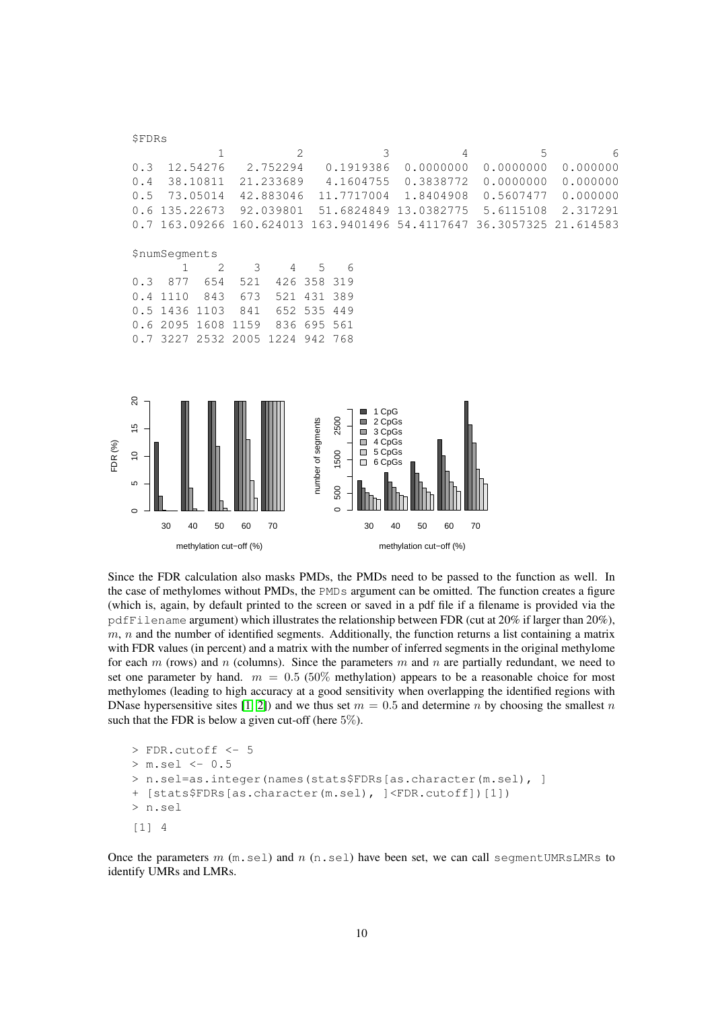|         | \$FDRs                                                         |                             |                         |      |                |                    |                                |                                                                                                 |    |    |                         |    |            |   |           |   |
|---------|----------------------------------------------------------------|-----------------------------|-------------------------|------|----------------|--------------------|--------------------------------|-------------------------------------------------------------------------------------------------|----|----|-------------------------|----|------------|---|-----------|---|
|         |                                                                |                             | $\mathbf 1$             |      | $\overline{2}$ |                    |                                | 3                                                                                               |    |    |                         | 4  |            | 5 |           | 6 |
|         | 0.3                                                            |                             | 12.54276                |      | 2.752294       |                    |                                | 0.1919386                                                                                       |    |    | 0.0000000               |    | 0.0000000  |   | 0.000000  |   |
|         | 0.4                                                            |                             | 38.10811                |      | 21.233689      |                    |                                | 4.1604755                                                                                       |    |    | 0.3838772               |    | 0.0000000  |   | 0.000000  |   |
|         | $0.5$                                                          |                             | 73.05014                |      | 42.883046      |                    |                                | 11.7717004                                                                                      |    |    | 1.8404908               |    | 0.5607477  |   | 0.000000  |   |
|         | 0.6                                                            |                             | 135.22673               |      | 92.039801      |                    |                                | 51.6824849 13.0382775                                                                           |    |    |                         |    | 5.6115108  |   | 2.317291  |   |
|         | 0.7                                                            |                             | 163.09266               |      | 160.624013     |                    |                                | 163.9401496                                                                                     |    |    | 54.4117647              |    | 36.3057325 |   | 21.614583 |   |
|         |                                                                | <i><b>\$numSeqments</b></i> |                         |      |                |                    |                                |                                                                                                 |    |    |                         |    |            |   |           |   |
|         |                                                                | 1                           | 2                       | 3    | 4              | 5                  | 6                              |                                                                                                 |    |    |                         |    |            |   |           |   |
|         | 0.3                                                            | 877                         | 654                     | 521  | 426            | 358                | 319                            |                                                                                                 |    |    |                         |    |            |   |           |   |
|         | 0.4                                                            | 1110                        | 843                     | 673  | 521            | 431                | 389                            |                                                                                                 |    |    |                         |    |            |   |           |   |
|         | 0.5                                                            | 1436                        | 1103                    | 841  | 652            | 535                | 449                            |                                                                                                 |    |    |                         |    |            |   |           |   |
|         | 0.6                                                            | 2095                        | 1608                    | 1159 | 836            | 695                | 561                            |                                                                                                 |    |    |                         |    |            |   |           |   |
|         | 0.7                                                            |                             | 3227 2532 2005          |      | 1224           | 942 768            |                                |                                                                                                 |    |    |                         |    |            |   |           |   |
| FDR (%) | $\overline{c}$<br>$\frac{5}{3}$<br>$\tilde{c}$<br>5<br>$\circ$ |                             |                         |      |                | number of segments | 2500<br>1500<br>500<br>$\circ$ | 1 CpG<br>2 CpGs<br>$\Box$<br>3 CpGs<br>$\Box$<br>4 CpGs<br>5 CpGs<br>$\Box$<br>6 CpGs<br>$\Box$ |    |    |                         |    |            |   |           |   |
|         |                                                                | 30                          | 40<br>50                | 60   | 70             |                    |                                | 30                                                                                              | 40 | 50 | 60                      | 70 |            |   |           |   |
|         |                                                                |                             | methylation cut-off (%) |      |                |                    |                                |                                                                                                 |    |    | methylation cut-off (%) |    |            |   |           |   |

Since the FDR calculation also masks PMDs, the PMDs need to be passed to the function as well. In the case of methylomes without PMDs, the PMDs argument can be omitted. The function creates a figure (which is, again, by default printed to the screen or saved in a pdf file if a filename is provided via the pdfFilename argument) which illustrates the relationship between FDR (cut at 20% if larger than 20%),  $m$ ,  $n$  and the number of identified segments. Additionally, the function returns a list containing a matrix with FDR values (in percent) and a matrix with the number of inferred segments in the original methylome for each m (rows) and n (columns). Since the parameters m and n are partially redundant, we need to set one parameter by hand.  $m = 0.5$  (50% methylation) appears to be a reasonable choice for most methylomes (leading to high accuracy at a good sensitivity when overlapping the identified regions with DNase hypersensitive sites [\[1,](#page-13-0) [2\]](#page-13-1)) and we thus set  $m = 0.5$  and determine n by choosing the smallest n such that the FDR is below a given cut-off (here 5%).

```
> FDR.cutoff <- 5
> m.sel <- 0.5
> n.sel=as.integer(names(stats$FDRs[as.character(m.sel), ]
+ [stats$FDRs[as.character(m.sel), ]<FDR.cutoff])[1])
> n.sel
[1] 4
```
Once the parameters  $m$  ( $m$ , sel) and  $n$  ( $n$ , sel) have been set, we can call segment UMRsLMRs to identify UMRs and LMRs.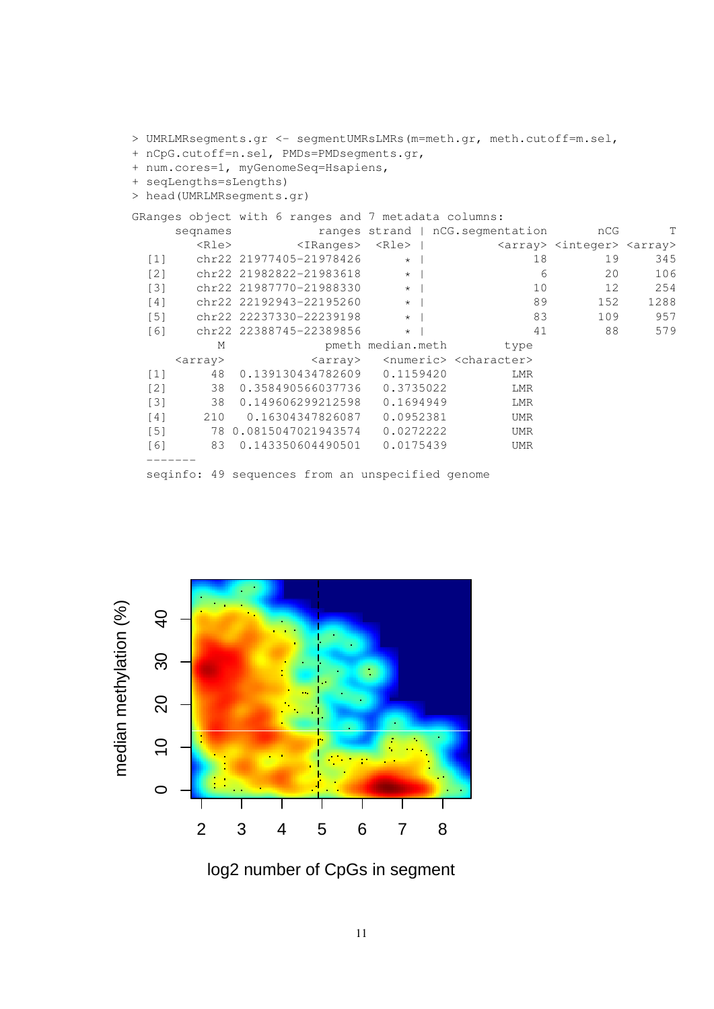> UMRLMRsegments.gr <- segmentUMRsLMRs(m=meth.gr, meth.cutoff=m.sel, + nCpG.cutoff=n.sel, PMDs=PMDsegments.gr, + num.cores=1, myGenomeSeq=Hsapiens, + seqLengths=sLengths) > head(UMRLMRsegments.gr) GRanges object with 6 ranges and 7 metadata columns: seqnames ranges strand | nCG.segmentation cCG T <Rle> <IRanges> <Rle> | <array> <integer> <array> [1] chr22 21977405-21978426 \* | 18 19 345 [2] chr22 21982822-21983618 \* | 6 20 106 [3] chr22 21987770-21988330 \* | 10 12 254  $[4]$  chr22 22192943-22195260 \* | 89 152 1288<br>  $[5]$  chr22 22237330-22239198 \* | 83 109 957 [5] chr22 22237330-22239198 \* | 83 109 957 [6] chr22 22388745-22389856 \* | M pmeth median.meth type <array>
<array>
<array>
</array>
</array>
</array>
</array>
</array>
</array>
</array>
</array>
</array> [1] 48 0.139130434782609 0.1159420 LMR [2] 38 0.358490566037736 0.3735022 LMR [3] 38 0.149606299212598 0.1694949 LMR [4] 210 0.16304347826087 0.0952381 UMR [5] 78 0.0815047021943574 0.0272222 UMR [6] 83 0.143350604490501 0.0175439 UMR ------ seqinfo: 49 sequences from an unspecified genome



log2 number of CpGs in segment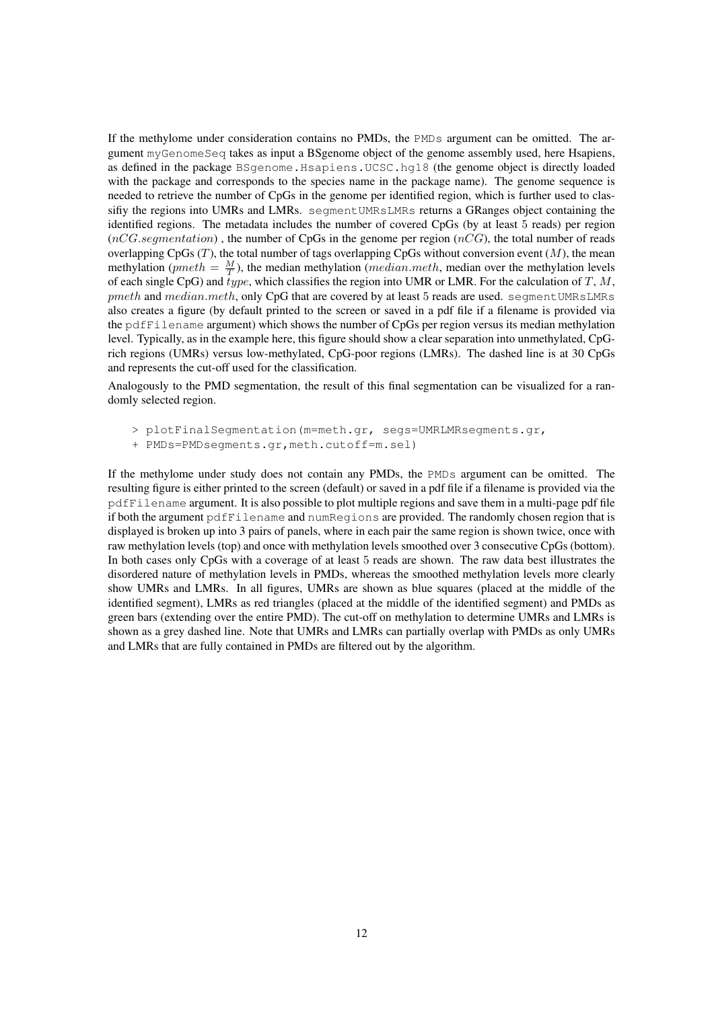If the methylome under consideration contains no PMDs, the PMDs argument can be omitted. The argument myGenomeSeq takes as input a BSgenome object of the genome assembly used, here Hsapiens, as defined in the package BSgenome.Hsapiens.UCSC.hg18 (the genome object is directly loaded with the package and corresponds to the species name in the package name). The genome sequence is needed to retrieve the number of CpGs in the genome per identified region, which is further used to classifiy the regions into UMRs and LMRs. segmentUMRsLMRs returns a GRanges object containing the identified regions. The metadata includes the number of covered CpGs (by at least 5 reads) per region  $(nCG.segmentation)$ , the number of CpGs in the genome per region  $(nCG)$ , the total number of reads overlapping  $CpGs (T)$ , the total number of tags overlapping  $CpGs$  without conversion event  $(M)$ , the mean methylation (*pmeth* =  $\frac{M}{T}$ ), the median methylation (*median.meth*, median over the methylation levels of each single CpG) and type, which classifies the region into UMR or LMR. For the calculation of  $T$ ,  $M$ , pmeth and median.meth, only CpG that are covered by at least 5 reads are used. segment UMRsLMRs also creates a figure (by default printed to the screen or saved in a pdf file if a filename is provided via the pdfFilename argument) which shows the number of CpGs per region versus its median methylation level. Typically, as in the example here, this figure should show a clear separation into unmethylated, CpGrich regions (UMRs) versus low-methylated, CpG-poor regions (LMRs). The dashed line is at 30 CpGs and represents the cut-off used for the classification.

Analogously to the PMD segmentation, the result of this final segmentation can be visualized for a randomly selected region.

- > plotFinalSegmentation(m=meth.gr, segs=UMRLMRsegments.gr,
- + PMDs=PMDsegments.gr,meth.cutoff=m.sel)

If the methylome under study does not contain any PMDs, the PMDs argument can be omitted. The resulting figure is either printed to the screen (default) or saved in a pdf file if a filename is provided via the pdfFilename argument. It is also possible to plot multiple regions and save them in a multi-page pdf file if both the argument pdfFilename and numRegions are provided. The randomly chosen region that is displayed is broken up into 3 pairs of panels, where in each pair the same region is shown twice, once with raw methylation levels (top) and once with methylation levels smoothed over 3 consecutive CpGs (bottom). In both cases only CpGs with a coverage of at least 5 reads are shown. The raw data best illustrates the disordered nature of methylation levels in PMDs, whereas the smoothed methylation levels more clearly show UMRs and LMRs. In all figures, UMRs are shown as blue squares (placed at the middle of the identified segment), LMRs as red triangles (placed at the middle of the identified segment) and PMDs as green bars (extending over the entire PMD). The cut-off on methylation to determine UMRs and LMRs is shown as a grey dashed line. Note that UMRs and LMRs can partially overlap with PMDs as only UMRs and LMRs that are fully contained in PMDs are filtered out by the algorithm.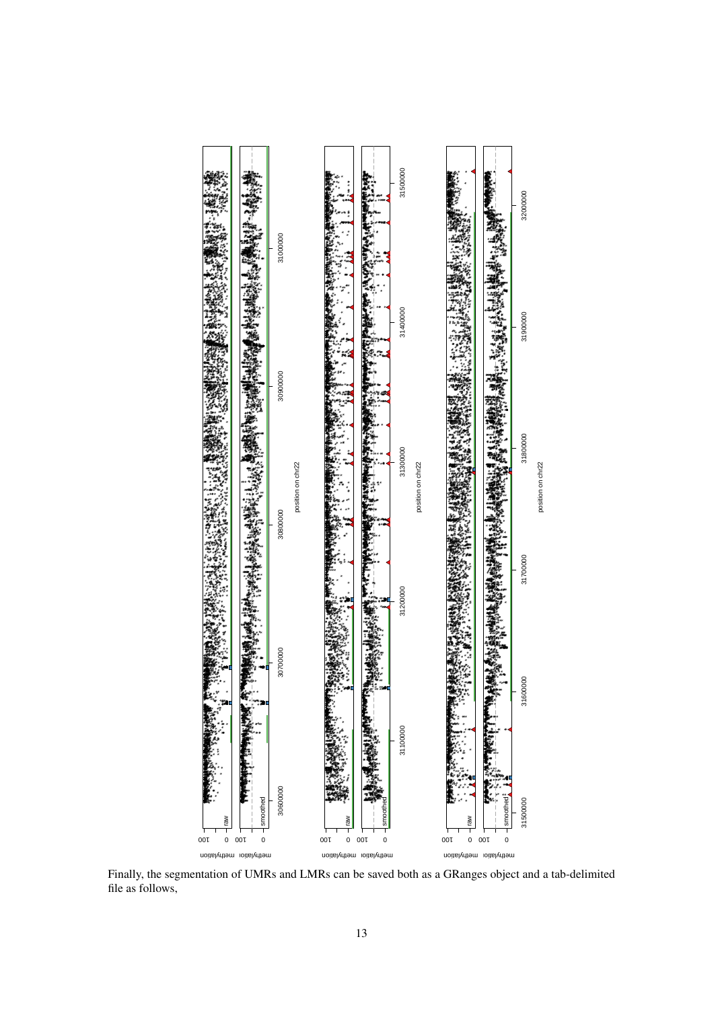

Finally, the segmentation of UMRs and LMRs can be saved both as a GRanges object and a tab-delimited file as follows,